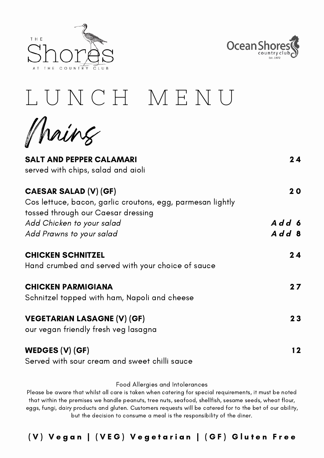



## L U N C H M E N U

Mains

| 20    |
|-------|
| Add 6 |
| Add 8 |
| 24    |
| 27    |
| 23    |
| 12    |
|       |

Food Allergies and Intolerances

Please be aware that whilst all care is taken when catering for special requirements, it must be noted that within the premises we handle peanuts, tree nuts, seafood, shellfish, sesame seeds, wheat flour, eggs, fungi, dairy products and gluten. Customers requests will be catered for to the bet of our ability, but the decision to consume a meal is the responsibility of the diner.

(V) Vegan | (VEG) Vegetarian | (GF) Gluten Free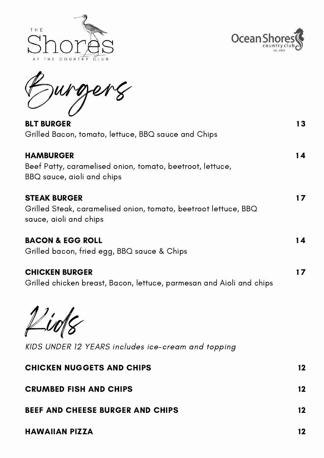



1 3

Burgers

BLT BURGER Grilled Bacon, tomato, lettuce, BBQ sauce and Chips

| <b>HAMBURGER</b><br>Beef Patty, caramelised onion, tomato, beetroot, lettuce,<br>BBQ sauce, aioli and chips      | 14 |
|------------------------------------------------------------------------------------------------------------------|----|
| <b>STEAK BURGER</b><br>Grilled Steak, caramelised onion, tomato, beetroot lettuce, BBQ<br>sauce, aioli and chips |    |
| <b>BACON &amp; EGG ROLL</b><br>Grilled bacon, fried egg, BBQ sauce & Chips                                       | 14 |
| <b>CHICKEN BURGER</b>                                                                                            |    |

Grilled chicken breast, Bacon, lettuce, parmesan and Aioli and chips

 $\mu$ uo $\gamma$ 

KIDS UNDER 12 YEARS includes ice-cream and topping

| <b>CHICKEN NUGGETS AND CHIPS</b>        | 12      |
|-----------------------------------------|---------|
| <b>CRUMBED FISH AND CHIPS</b>           | $12 \,$ |
| <b>BEEF AND CHEESE BURGER AND CHIPS</b> | $12 \,$ |
| <b>HAWAIIAN PIZZA</b>                   | 12      |